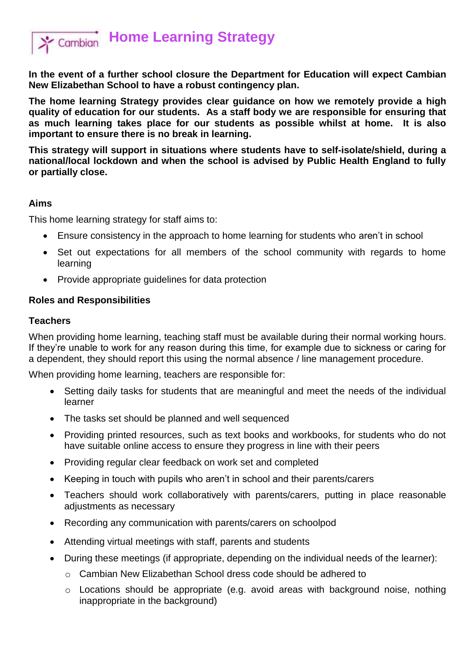

**Home Learning Strategy**

**In the event of a further school closure the Department for Education will expect Cambian New Elizabethan School to have a robust contingency plan.** 

**The home learning Strategy provides clear guidance on how we remotely provide a high quality of education for our students. As a staff body we are responsible for ensuring that as much learning takes place for our students as possible whilst at home. It is also important to ensure there is no break in learning.** 

**This strategy will support in situations where students have to self-isolate/shield, during a national/local lockdown and when the school is advised by Public Health England to fully or partially close.** 

#### **Aims**

This home learning strategy for staff aims to:

- Ensure consistency in the approach to home learning for students who aren't in school
- Set out expectations for all members of the school community with regards to home learning
- Provide appropriate quidelines for data protection

#### **Roles and Responsibilities**

#### **Teachers**

When providing home learning, teaching staff must be available during their normal working hours. If they're unable to work for any reason during this time, for example due to sickness or caring for a dependent, they should report this using the normal absence / line management procedure.

When providing home learning, teachers are responsible for:

- Setting daily tasks for students that are meaningful and meet the needs of the individual learner
- The tasks set should be planned and well sequenced
- Providing printed resources, such as text books and workbooks, for students who do not have suitable online access to ensure they progress in line with their peers
- Providing regular clear feedback on work set and completed
- Keeping in touch with pupils who aren't in school and their parents/carers
- Teachers should work collaboratively with parents/carers, putting in place reasonable adjustments as necessary
- Recording any communication with parents/carers on schoolpod
- Attending virtual meetings with staff, parents and students
- During these meetings (if appropriate, depending on the individual needs of the learner):
	- o Cambian New Elizabethan School dress code should be adhered to
	- o Locations should be appropriate (e.g. avoid areas with background noise, nothing inappropriate in the background)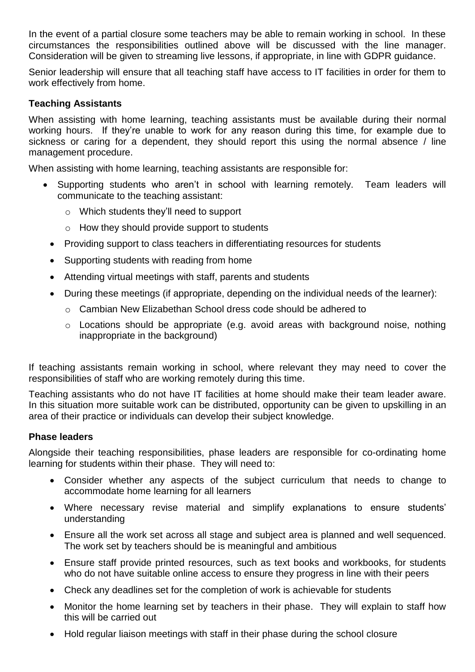In the event of a partial closure some teachers may be able to remain working in school. In these circumstances the responsibilities outlined above will be discussed with the line manager. Consideration will be given to streaming live lessons, if appropriate, in line with GDPR guidance.

Senior leadership will ensure that all teaching staff have access to IT facilities in order for them to work effectively from home.

### **Teaching Assistants**

When assisting with home learning, teaching assistants must be available during their normal working hours. If they're unable to work for any reason during this time, for example due to sickness or caring for a dependent, they should report this using the normal absence / line management procedure.

When assisting with home learning, teaching assistants are responsible for:

- Supporting students who aren't in school with learning remotely. Team leaders will communicate to the teaching assistant:
	- o Which students they'll need to support
	- o How they should provide support to students
	- Providing support to class teachers in differentiating resources for students
	- Supporting students with reading from home
	- Attending virtual meetings with staff, parents and students
	- During these meetings (if appropriate, depending on the individual needs of the learner):
		- o Cambian New Elizabethan School dress code should be adhered to
		- o Locations should be appropriate (e.g. avoid areas with background noise, nothing inappropriate in the background)

If teaching assistants remain working in school, where relevant they may need to cover the responsibilities of staff who are working remotely during this time.

Teaching assistants who do not have IT facilities at home should make their team leader aware. In this situation more suitable work can be distributed, opportunity can be given to upskilling in an area of their practice or individuals can develop their subject knowledge.

#### **Phase leaders**

Alongside their teaching responsibilities, phase leaders are responsible for co-ordinating home learning for students within their phase. They will need to:

- Consider whether any aspects of the subject curriculum that needs to change to accommodate home learning for all learners
- Where necessary revise material and simplify explanations to ensure students' understanding
- Ensure all the work set across all stage and subject area is planned and well sequenced. The work set by teachers should be is meaningful and ambitious
- Ensure staff provide printed resources, such as text books and workbooks, for students who do not have suitable online access to ensure they progress in line with their peers
- Check any deadlines set for the completion of work is achievable for students
- Monitor the home learning set by teachers in their phase. They will explain to staff how this will be carried out
- Hold regular liaison meetings with staff in their phase during the school closure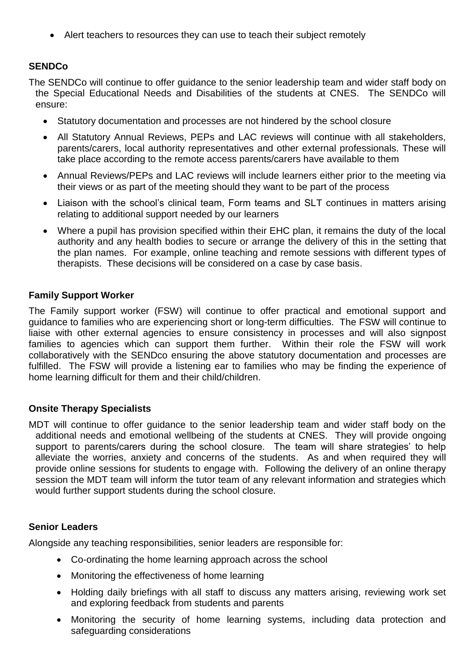• Alert teachers to resources they can use to teach their subject remotely

# **SENDCo**

The SENDCo will continue to offer guidance to the senior leadership team and wider staff body on the Special Educational Needs and Disabilities of the students at CNES. The SENDCo will ensure:

- Statutory documentation and processes are not hindered by the school closure
- All Statutory Annual Reviews, PEPs and LAC reviews will continue with all stakeholders, parents/carers, local authority representatives and other external professionals. These will take place according to the remote access parents/carers have available to them
- Annual Reviews/PEPs and LAC reviews will include learners either prior to the meeting via their views or as part of the meeting should they want to be part of the process
- Liaison with the school's clinical team, Form teams and SLT continues in matters arising relating to additional support needed by our learners
- Where a pupil has provision specified within their EHC plan, it remains the duty of the local authority and any health bodies to secure or arrange the delivery of this in the setting that the plan names. For example, online teaching and remote sessions with different types of therapists. These decisions will be considered on a case by case basis.

#### **Family Support Worker**

The Family support worker (FSW) will continue to offer practical and emotional support and guidance to families who are experiencing short or long-term difficulties. The FSW will continue to liaise with other external agencies to ensure consistency in processes and will also signpost families to agencies which can support them further. Within their role the FSW will work collaboratively with the SENDco ensuring the above statutory documentation and processes are fulfilled. The FSW will provide a listening ear to families who may be finding the experience of home learning difficult for them and their child/children.

#### **Onsite Therapy Specialists**

MDT will continue to offer guidance to the senior leadership team and wider staff body on the additional needs and emotional wellbeing of the students at CNES. They will provide ongoing support to parents/carers during the school closure. The team will share strategies' to help alleviate the worries, anxiety and concerns of the students. As and when required they will provide online sessions for students to engage with. Following the delivery of an online therapy session the MDT team will inform the tutor team of any relevant information and strategies which would further support students during the school closure.

#### **Senior Leaders**

Alongside any teaching responsibilities, senior leaders are responsible for:

- Co-ordinating the home learning approach across the school
- Monitoring the effectiveness of home learning
- Holding daily briefings with all staff to discuss any matters arising, reviewing work set and exploring feedback from students and parents
- Monitoring the security of home learning systems, including data protection and safeguarding considerations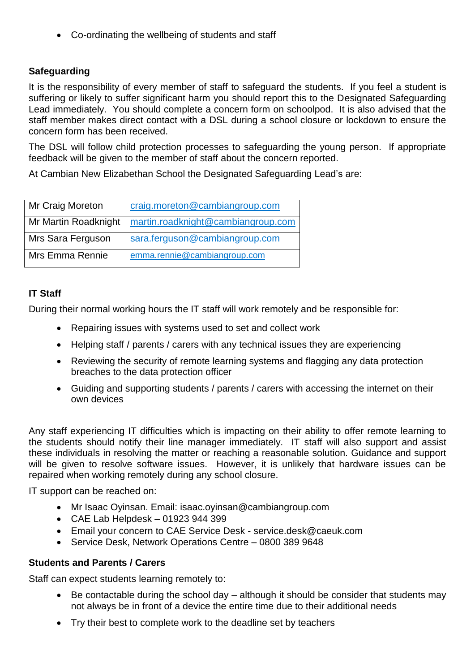Co-ordinating the wellbeing of students and staff

### **Safeguarding**

It is the responsibility of every member of staff to safeguard the students. If you feel a student is suffering or likely to suffer significant harm you should report this to the Designated Safeguarding Lead immediately. You should complete a concern form on schoolpod. It is also advised that the staff member makes direct contact with a DSL during a school closure or lockdown to ensure the concern form has been received.

The DSL will follow child protection processes to safeguarding the young person. If appropriate feedback will be given to the member of staff about the concern reported.

At Cambian New Elizabethan School the Designated Safeguarding Lead's are:

| Mr Craig Moreton     | craig.moreton@cambiangroup.com     |
|----------------------|------------------------------------|
| Mr Martin Roadknight | martin.roadknight@cambiangroup.com |
| Mrs Sara Ferguson    | sara.ferguson@cambiangroup.com     |
| Mrs Emma Rennie      | emma.rennie@cambiangroup.com       |

#### **IT Staff**

During their normal working hours the IT staff will work remotely and be responsible for:

- Repairing issues with systems used to set and collect work
- Helping staff / parents / carers with any technical issues they are experiencing
- Reviewing the security of remote learning systems and flagging any data protection breaches to the data protection officer
- Guiding and supporting students / parents / carers with accessing the internet on their own devices

Any staff experiencing IT difficulties which is impacting on their ability to offer remote learning to the students should notify their line manager immediately. IT staff will also support and assist these individuals in resolving the matter or reaching a reasonable solution. Guidance and support will be given to resolve software issues. However, it is unlikely that hardware issues can be repaired when working remotely during any school closure.

IT support can be reached on:

- Mr Isaac Oyinsan. Email: isaac.oyinsan@cambiangroup.com
- CAE Lab Helpdesk 01923 944 399
- Email your concern to CAE Service Desk service.desk@caeuk.com
- Service Desk, Network Operations Centre 0800 389 9648

#### **Students and Parents / Carers**

Staff can expect students learning remotely to:

- Be contactable during the school day although it should be consider that students may not always be in front of a device the entire time due to their additional needs
- Try their best to complete work to the deadline set by teachers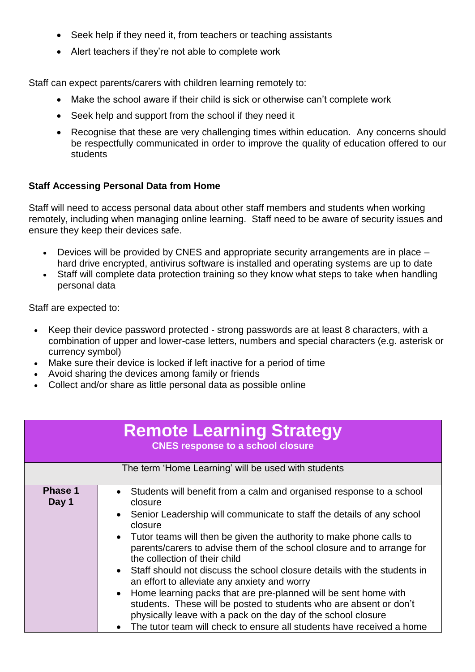- Seek help if they need it, from teachers or teaching assistants
- Alert teachers if they're not able to complete work

Staff can expect parents/carers with children learning remotely to:

- Make the school aware if their child is sick or otherwise can't complete work
- Seek help and support from the school if they need it
- Recognise that these are very challenging times within education. Any concerns should be respectfully communicated in order to improve the quality of education offered to our students

# **Staff Accessing Personal Data from Home**

Staff will need to access personal data about other staff members and students when working remotely, including when managing online learning. Staff need to be aware of security issues and ensure they keep their devices safe.

- Devices will be provided by CNES and appropriate security arrangements are in place hard drive encrypted, antivirus software is installed and operating systems are up to date
- Staff will complete data protection training so they know what steps to take when handling personal data

Staff are expected to:

- Keep their device password protected strong passwords are at least 8 characters, with a combination of upper and lower-case letters, numbers and special characters (e.g. asterisk or currency symbol)
- Make sure their device is locked if left inactive for a period of time
- Avoid sharing the devices among family or friends
- Collect and/or share as little personal data as possible online

| <b>Remote Learning Strategy</b><br><b>CNES response to a school closure</b> |                                                                                                                                                                                                                                                                                                                                                                                                                                                                                                                                                                                                                                                                                                                                                                            |  |
|-----------------------------------------------------------------------------|----------------------------------------------------------------------------------------------------------------------------------------------------------------------------------------------------------------------------------------------------------------------------------------------------------------------------------------------------------------------------------------------------------------------------------------------------------------------------------------------------------------------------------------------------------------------------------------------------------------------------------------------------------------------------------------------------------------------------------------------------------------------------|--|
| The term 'Home Learning' will be used with students                         |                                                                                                                                                                                                                                                                                                                                                                                                                                                                                                                                                                                                                                                                                                                                                                            |  |
| <b>Phase 1</b><br>Day 1                                                     | Students will benefit from a calm and organised response to a school<br>closure<br>• Senior Leadership will communicate to staff the details of any school<br>closure<br>Tutor teams will then be given the authority to make phone calls to<br>parents/carers to advise them of the school closure and to arrange for<br>the collection of their child<br>• Staff should not discuss the school closure details with the students in<br>an effort to alleviate any anxiety and worry<br>• Home learning packs that are pre-planned will be sent home with<br>students. These will be posted to students who are absent or don't<br>physically leave with a pack on the day of the school closure<br>The tutor team will check to ensure all students have received a home |  |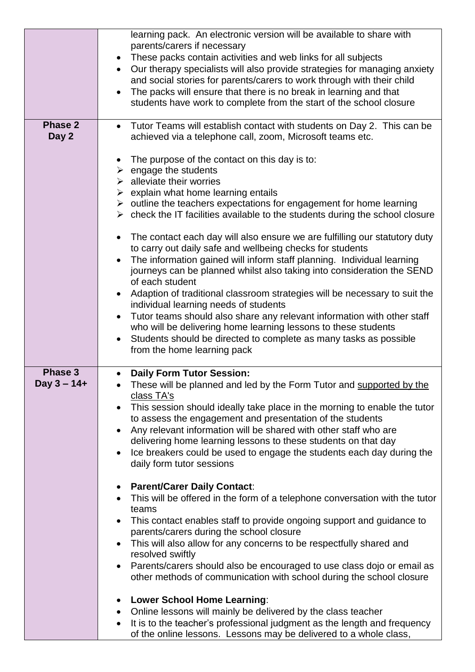|                           | learning pack. An electronic version will be available to share with<br>parents/carers if necessary<br>• These packs contain activities and web links for all subjects<br>Our therapy specialists will also provide strategies for managing anxiety<br>and social stories for parents/carers to work through with their child<br>The packs will ensure that there is no break in learning and that<br>students have work to complete from the start of the school closure                                                                                                               |
|---------------------------|-----------------------------------------------------------------------------------------------------------------------------------------------------------------------------------------------------------------------------------------------------------------------------------------------------------------------------------------------------------------------------------------------------------------------------------------------------------------------------------------------------------------------------------------------------------------------------------------|
| <b>Phase 2</b><br>Day 2   | Tutor Teams will establish contact with students on Day 2. This can be<br>$\bullet$                                                                                                                                                                                                                                                                                                                                                                                                                                                                                                     |
|                           | achieved via a telephone call, zoom, Microsoft teams etc.<br>The purpose of the contact on this day is to:<br>$\triangleright$ engage the students<br>$\triangleright$ alleviate their worries<br>$\triangleright$ explain what home learning entails<br>$\triangleright$ outline the teachers expectations for engagement for home learning<br>$\triangleright$ check the IT facilities available to the students during the school closure<br>The contact each day will also ensure we are fulfilling our statutory duty<br>to carry out daily safe and wellbeing checks for students |
|                           | The information gained will inform staff planning. Individual learning<br>journeys can be planned whilst also taking into consideration the SEND<br>of each student<br>Adaption of traditional classroom strategies will be necessary to suit the<br>individual learning needs of students                                                                                                                                                                                                                                                                                              |
|                           | Tutor teams should also share any relevant information with other staff<br>who will be delivering home learning lessons to these students<br>Students should be directed to complete as many tasks as possible<br>from the home learning pack                                                                                                                                                                                                                                                                                                                                           |
| Phase 3<br>Day $3 - 14 +$ | <b>Daily Form Tutor Session:</b><br>$\bullet$<br>These will be planned and led by the Form Tutor and supported by the<br>class TA's<br>This session should ideally take place in the morning to enable the tutor<br>to assess the engagement and presentation of the students<br>Any relevant information will be shared with other staff who are<br>delivering home learning lessons to these students on that day<br>Ice breakers could be used to engage the students each day during the<br>daily form tutor sessions                                                               |
|                           | <b>Parent/Carer Daily Contact:</b><br>$\bullet$<br>This will be offered in the form of a telephone conversation with the tutor<br>teams<br>This contact enables staff to provide ongoing support and guidance to                                                                                                                                                                                                                                                                                                                                                                        |
|                           | parents/carers during the school closure<br>This will also allow for any concerns to be respectfully shared and<br>resolved swiftly                                                                                                                                                                                                                                                                                                                                                                                                                                                     |
|                           | Parents/carers should also be encouraged to use class dojo or email as<br>other methods of communication with school during the school closure                                                                                                                                                                                                                                                                                                                                                                                                                                          |
|                           | • Lower School Home Learning:<br>Online lessons will mainly be delivered by the class teacher<br>It is to the teacher's professional judgment as the length and frequency<br>$\bullet$<br>of the online lessons. Lessons may be delivered to a whole class,                                                                                                                                                                                                                                                                                                                             |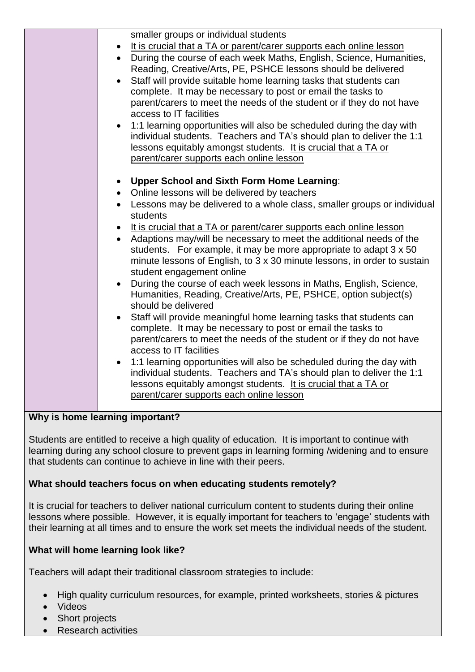| smaller groups or individual students<br>It is crucial that a TA or parent/carer supports each online lesson<br>• During the course of each week Maths, English, Science, Humanities,<br>Reading, Creative/Arts, PE, PSHCE lessons should be delivered<br>Staff will provide suitable home learning tasks that students can<br>complete. It may be necessary to post or email the tasks to<br>parent/carers to meet the needs of the student or if they do not have<br>access to IT facilities<br>• 1:1 learning opportunities will also be scheduled during the day with<br>individual students. Teachers and TA's should plan to deliver the 1:1<br>lessons equitably amongst students. It is crucial that a TA or<br>parent/carer supports each online lesson                                                                                                                                                                                                                                                                                                                                                                                                                                                       |
|------------------------------------------------------------------------------------------------------------------------------------------------------------------------------------------------------------------------------------------------------------------------------------------------------------------------------------------------------------------------------------------------------------------------------------------------------------------------------------------------------------------------------------------------------------------------------------------------------------------------------------------------------------------------------------------------------------------------------------------------------------------------------------------------------------------------------------------------------------------------------------------------------------------------------------------------------------------------------------------------------------------------------------------------------------------------------------------------------------------------------------------------------------------------------------------------------------------------|
| <b>Upper School and Sixth Form Home Learning:</b><br>$\bullet$<br>• Online lessons will be delivered by teachers<br>• Lessons may be delivered to a whole class, smaller groups or individual<br>students<br>• It is crucial that a TA or parent/carer supports each online lesson<br>• Adaptions may/will be necessary to meet the additional needs of the<br>students. For example, it may be more appropriate to adapt 3 x 50<br>minute lessons of English, to 3 x 30 minute lessons, in order to sustain<br>student engagement online<br>During the course of each week lessons in Maths, English, Science,<br>Humanities, Reading, Creative/Arts, PE, PSHCE, option subject(s)<br>should be delivered<br>Staff will provide meaningful home learning tasks that students can<br>complete. It may be necessary to post or email the tasks to<br>parent/carers to meet the needs of the student or if they do not have<br>access to IT facilities<br>• 1:1 learning opportunities will also be scheduled during the day with<br>individual students. Teachers and TA's should plan to deliver the 1:1<br>lessons equitably amongst students. It is crucial that a TA or<br>parent/carer supports each online lesson |

# **Why is home learning important?**

Students are entitled to receive a high quality of education. It is important to continue with learning during any school closure to prevent gaps in learning forming /widening and to ensure that students can continue to achieve in line with their peers.

# **What should teachers focus on when educating students remotely?**

It is crucial for teachers to deliver national curriculum content to students during their online lessons where possible. However, it is equally important for teachers to 'engage' students with their learning at all times and to ensure the work set meets the individual needs of the student.

# **What will home learning look like?**

Teachers will adapt their traditional classroom strategies to include:

- High quality curriculum resources, for example, printed worksheets, stories & pictures
- Videos
- Short projects
- Research activities